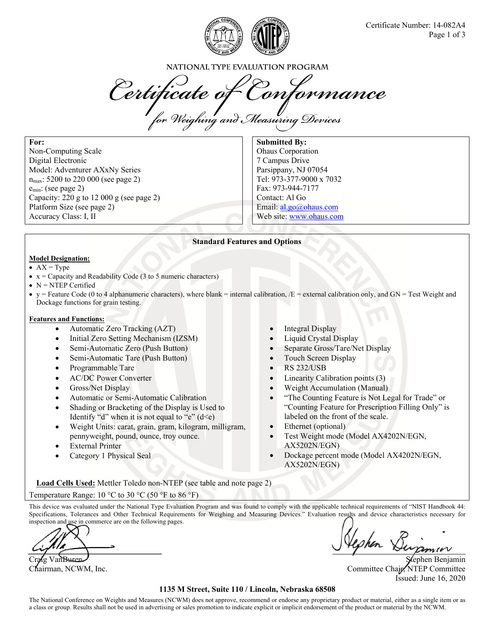

NATIONAL TYPE EVALUATION PROGRAM

Certificate of Conformance

**For:**  Non-Computing Scale Digital Electronic Model: Adventurer AXxNy Series  $n_{\text{max}}$ : 5200 to 220 000 (see page 2) emin: (see page 2) Capacity: 220 g to 12 000 g (see page 2) Platform Size (see page 2) Accuracy Class: I, II

**Submitted By:**  Ohaus Corporation 7 Campus Drive Parsippany, NJ 07054 Tel: 973-377-9000 x 7032 Fax: 973-944-7177 Contact: Al Go Email: al.go@ohaus.com Web site: www.ohaus.com

## **Standard Features and Options**

### **Model Designation:**

- $\bullet$  AX = Type
- $\bullet$  x = Capacity and Readability Code (3 to 5 numeric characters)
- $\bullet$  N = NTEP Certified
- $\bullet$  y = Feature Code (0 to 4 alphanumeric characters), where blank = internal calibration,  $/E$  = external calibration only, and GN = Test Weight and Dockage functions for grain testing.

#### **Features and Functions:**

- Automatic Zero Tracking (AZT) **Integral Display**
- Initial Zero Setting Mechanism (IZSM) **Company Liquid Crystal Display**
- 
- Semi-Automatic Tare (Push Button) **Construction Touch Screen Display**
- Programmable Tare **RS 232/USB**
- 
- Gross/Net Display
- Automatic or Semi-Automatic Calibration
- Shading or Bracketing of the Display is Used to Identify "d" when it is not equal to "e"  $(d \leq e)$
- Weight Units: carat, grain, gram, kilogram, milligram, pennyweight, pound, ounce, troy ounce.
- External Printer
- Category 1 Physical Seal
- 
- 
- Semi-Automatic Zero (Push Button) Separate Gross/Tare/Net Display
	-
	-
- AC/DC Power Converter **Converter**  Linearity Calibration points (3)
	- Weight Accumulation (Manual)
	- "The Counting Feature is Not Legal for Trade" or "Counting Feature for Prescription Filling Only" is labeled on the front of the scale.
	- Ethernet (optional)
	- Test Weight mode (Model AX4202N/EGN, AX5202N/EGN)
	- Dockage percent mode (Model AX4202N/EGN, AX5202N/EGN)

**Load Cells Used:** Mettler Toledo non-NTEP (see table and note page 2) Temperature Range:  $10 \degree C$  to  $30 \degree C$  (50  $\degree F$  to  $86 \degree F$ )

This device was evaluated under the National Type Evaluation Program and was found to comply with the applicable technical requirements of "NIST Handbook 44: Specifications, Tolerances and Other Technical Requirements for Weighing and Measuring Devices." Evaluation results and device characteristics necessary for inspection and use in commerce are on the following pages.

Craig Van Buren Chairman, NCWM, Inc. Committee Chair, NTEP Committee Chair, NTEP Committee Issued: June 16, 2020

## **1135 M Street, Suite 110 / Lincoln, Nebraska 68508**

The National Conference on Weights and Measures (NCWM) does not approve, recommend or endorse any proprietary product or material, either as a single item or as a class or group. Results shall not be used in advertising or sales promotion to indicate explicit or implicit endorsement of the product or material by the NCWM.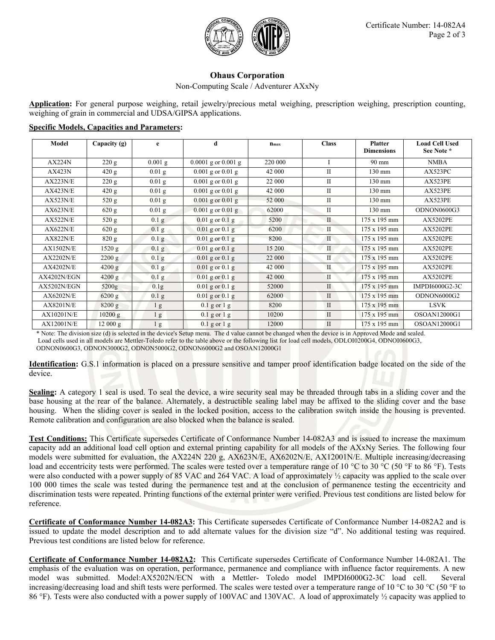

# **Ohaus Corporation**

Non-Computing Scale / Adventurer AXxNy

**Application:** For general purpose weighing, retail jewelry/precious metal weighing, prescription weighing, prescription counting, weighing of grain in commercial and UDSA/GIPSA applications.

| Model    | Capacity $(g)$ | e                | đ                       | $n_{max}$ | <b>Class</b> | <b>Platter</b>      | <b>Load Cell Used</b> |
|----------|----------------|------------------|-------------------------|-----------|--------------|---------------------|-----------------------|
|          |                |                  |                         |           |              | <b>Dimensions</b>   | See Note *            |
| AX224N   | 220 g          | $0.001$ g        | $0.0001$ g or $0.001$ g | 220 000   |              | 90 mm               | <b>NMBA</b>           |
| AX423N   | 420 g          | $0.01$ g         | $0.001$ g or $0.01$ g   | 42 000    | П            | $130 \text{ mm}$    | AX523PC               |
| AX223N/E | 220 g          | $0.01$ g         | $0.001$ g or $0.01$ g   | 22 000    | Н            | $130 \text{ mm}$    | AX523PE               |
| AX423N/E | 420 g          | $0.01$ g         | $0.001$ g or $0.01$ g   | 42 000    | Н            | $130 \text{ mm}$    | AX523PE               |
| AX523N/E | 520 g          | $0.01$ g         | $0.001$ g or $0.01$ g   | 52 000    | П            | $130 \text{ mm}$    | AX523PE               |
| AX623N/E | 620 g          | $0.01$ g         | $0.001$ g or $0.01$ g   | 62000     | П            | $130 \text{ mm}$    | ODNON0600G3           |
| AX522N/E | 520 g          | 0.1 <sub>g</sub> | $0.01$ g or $0.1$ g     | 5200      | П            | 175 x 195 mm        | <b>AX5202PE</b>       |
| AX622N/E | 620 g          | $0.1$ g          | $0.01$ g or $0.1$ g     | 6200      |              | $175 \times 195$ mm | <b>AX5202PE</b>       |

#### **Specific Models, Capacities and Parameters:**

\* Note: The division size (d) is selected in the device's Setup menu. The d value cannot be changed when the device is in Approved Mode and sealed. Load cells used in all models are Mettler-Toledo refer to the table above or the following list for load cell models, ODLOI0200G4, ODNOI0600G3, ODNON0600G3, ODNON3000G2, ODNON5000G2, ODNON6000G2 and OSOAN12000G1

**Identification:** G.S.1 information is placed on a pressure sensitive and tamper proof identification badge located on the side of the device.

 $AX822N/E$  820 g 0.1 g 0.01 g or 0.1 g 8200 I 175 x 195 mm AX5202PE  $AX1502N/E$  1520 g 0.1 g 0.01 g or 0.1 g 15 200 II 175 x 195 mm AX5202PE  $AX2202N/E$  2200 g 0.1 g 0.01 g or 0.1 g 22 000 II 175 x 195 mm AX5202PE AX4202N/E 4200 g 0.1 g 0.01 g or 0.1 g 42 000 II 175 x 195 mm AX5202PE  $AX4202N/EGN$  4200 g 0.1 g 0.01 g or 0.1 g 42 000 I II 175 x 195 mm AX5202PE AX5202N/EGN 5200g 0.1g 0.01 g or 0.1 g 52000 I II 175 x 195 mm IMPDI6000G2-3C AX6202N/E 6200 g 0.1 g 0.01 g or 0.1 g 62000 II 175 x 195 mm ODNON6000G2 AX8201N/E 8200 g 1 g 1 g 0.1 g or 1 g 1 8200 II 175 x 195 mm LSVK AX10201N/E 10200 g 1 g 0.1 g 0.1 g 10200 II 175 x 195 mm OSOAN12000G1 AX12001N/E 12 000 g 1 g 0.1 g 0.1 g 12000 II 175 x 195 mm OSOAN12000G1

**Sealing:** A category 1 seal is used. To seal the device, a wire security seal may be threaded through tabs in a sliding cover and the base housing at the rear of the balance. Alternately, a destructible sealing label may be affixed to the sliding cover and the base housing. When the sliding cover is sealed in the locked position, access to the calibration switch inside the housing is prevented. Remote calibration and configuration are also blocked when the balance is sealed.

**Test Conditions:** This Certificate supersedes Certificate of Conformance Number 14-082A3 and is issued to increase the maximum capacity add an additional load cell option and external printing capability for all models of the AXxNy Series. The following four models were submitted for evaluation, the AX224N 220 g, AX623N/E, AX6202N/E, AX12001N/E. Multiple increasing/decreasing load and eccentricity tests were performed. The scales were tested over a temperature range of 10 °C to 30 °C (50 °F to 86 °F). Tests were also conducted with a power supply of 85 VAC and 264 VAC. A load of approximately  $\frac{1}{2}$  capacity was applied to the scale over 100 000 times the scale was tested during the permanence test and at the conclusion of permanence testing the eccentricity and discrimination tests were repeated. Printing functions of the external printer were verified. Previous test conditions are listed below for reference.

**Certificate of Conformance Number 14-082A3:** This Certificate supersedes Certificate of Conformance Number 14-082A2 and is issued to update the model description and to add alternate values for the division size "d". No additional testing was required. Previous test conditions are listed below for reference.

**Certificate of Conformance Number 14-082A2:** This Certificate supersedes Certificate of Conformance Number 14-082A1. The emphasis of the evaluation was on operation, performance, permanence and compliance with influence factor requirements. A new model was submitted. Model:AX5202N/ECN with a Mettler- Toledo model IMPDI6000G2-3C load cell. Several increasing/decreasing load and shift tests were performed. The scales were tested over a temperature range of 10 °C to 30 °C (50 °F to 86 °F). Tests were also conducted with a power supply of 100VAC and 130VAC. A load of approximately ½ capacity was applied to